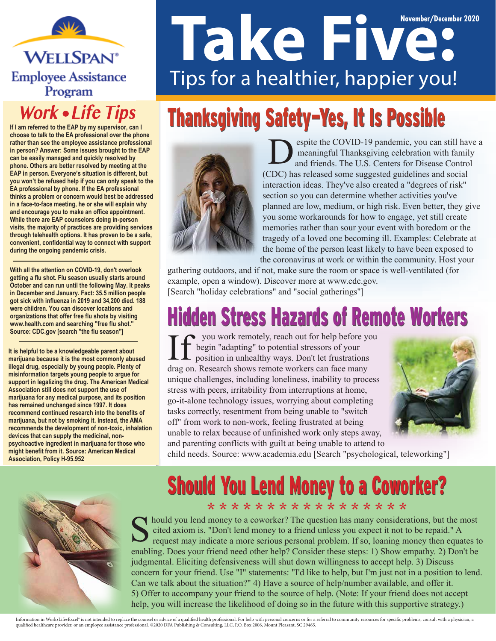**WELLSPAN® Employee Assistance** Program

#### **Work • Life Tips**

**If I am referred to the EAP by my supervisor, can I choose to talk to the EA professional over the phone rather than see the employee assistance professional in person? Answer: Some issues brought to the EAP can be easily managed and quickly resolved by phone. Others are better resolved by meeting at the EAP in person. Everyone's situation is different, but you won't be refused help if you can only speak to the EA professional by phone. If the EA professional thinks a problem or concern would best be addressed in a face-to-face meeting, he or she will explain why and encourage you to make an office appointment. While there are EAP counselors doing in-person visits, the majority of practices are providing services through telehealth options. It has proven to be a safe, convenient, confidential way to connect with support during the ongoing pandemic crisis.** 

**With all the attention on COVID-19, don't overlook getting a flu shot. Flu season usually starts around October and can run until the following May. It peaks in December and January. Fact: 35.5 million people got sick with influenza in 2019 and 34,200 died. 188 were children. You can discover locations and organizations that offer free flu shots by visiting www.health.com and searching "free flu shot." Source: CDC.gov [search "the flu season"]**

**It is helpful to be a knowledgeable parent about marijuana because it is the most commonly abused illegal drug, especially by young people. Plenty of misinformation targets young people to argue for support in legalizing the drug. The American Medical Association still does not support the use of marijuana for any medical purpose, and its position has remained unchanged since 1997. It does recommend continued research into the benefits of marijuana, but not by smoking it. Instead, the AMA recommends the development of non-toxic, inhalation devices that can supply the medicinal, nonpsychoactive ingredient in marijuana for those who might benefit from it. Source: American Medical Association, Policy H-95.952**

# **November/December 2020** Tips for a healthier, happier you!

# Thanksgiving Safety-Yes, It Is Possible



espite the COVID-19 pandemic, you can still have a meaningful Thanksgiving celebration with family and friends. The U.S. Centers for Disease Control (CDC) has released some suggested guidelines and social interaction ideas. They've also created a "degrees of risk" section so you can determine whether activities you've planned are low, medium, or high risk. Even better, they give you some workarounds for how to engage, yet still create memories rather than sour your event with boredom or the tragedy of a loved one becoming ill. Examples: Celebrate at the home of the person least likely to have been exposed to the coronavirus at work or within the community. Host your

gathering outdoors, and if not, make sure the room or space is well-ventilated (for example, open a window). Discover more at www.cdc.gov. [Search "holiday celebrations" and "social gatherings"]

# **Hidden Stress Hazards of Remote Workers**

 you work remotely, reach out for help before you begin "adapting" to potential stressors of your position in unhealthy ways. Don't let frustrations drag on. Research shows remote workers can face many unique challenges, including loneliness, inability to process stress with peers, irritability from interruptions at home, go-it-alone technology issues, worrying about completing tasks correctly, resentment from being unable to "switch off" from work to non-work, feeling frustrated at being unable to relax because of unfinished work only steps away, and parenting conflicts with guilt at being unable to attend to



child needs. Source: www.academia.edu [Search "psychological, teleworking"]



#### Should You Lend Money to a Coworker? \* \* \* \* \* \* \* \* \* \* \* \* \* \* \* \* \*

hould you lend money to a coworker? The question has many considerations, but the most cited axiom is, "Don't lend money to a friend unless you expect it not to be repaid." A request may indicate a more serious personal problem. If so, loaning money then equates to enabling. Does your friend need other help? Consider these steps: 1) Show empathy. 2) Don't be judgmental. Eliciting defensiveness will shut down willingness to accept help. 3) Discuss concern for your friend. Use "I" statements: "I'd like to help, but I'm just not in a position to lend. Can we talk about the situation?" 4) Have a source of help/number available, and offer it. 5) Offer to accompany your friend to the source of help. (Note: If your friend does not accept help, you will increase the likelihood of doing so in the future with this supportive strategy.)